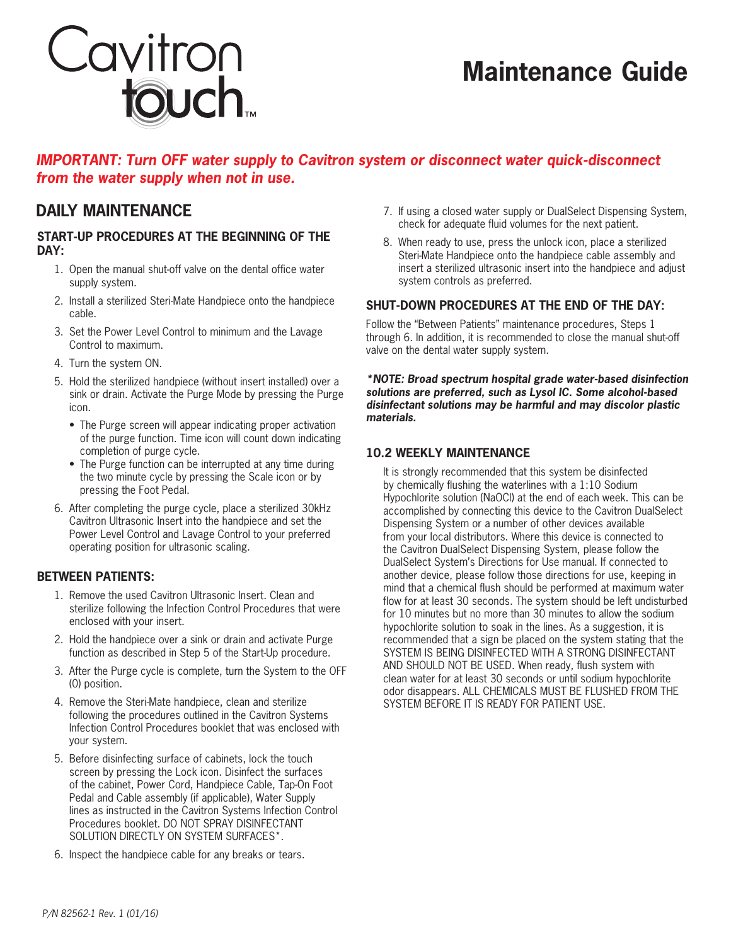

# **Maintenance Guide**

### *IMPORTANT: Turn OFF water supply to Cavitron system or disconnect water quick-disconnect from the water supply when not in use.*

### **Start-Up Procedures at the beginning of the day:**

- 1. Open the manual shut-off valve on the dental office water supply system.
- 2. Install a sterilized Steri-Mate Handpiece onto the handpiece cable.
- 3. Set the Power Level Control to minimum and the Lavage Control to maximum.
- 4. Turn the system ON.
- 5. Hold the sterilized handpiece (without insert installed) over a sink or drain. Activate the Purge Mode by pressing the Purge icon.
	- The Purge screen will appear indicating proper activation of the purge function. Time icon will count down indicating completion of purge cycle.
	- The Purge function can be interrupted at any time during the two minute cycle by pressing the Scale icon or by pressing the Foot Pedal.
- 6. After completing the purge cycle, place a sterilized 30kHz Cavitron Ultrasonic Insert into the handpiece and set the Power Level Control and Lavage Control to your preferred operating position for ultrasonic scaling.

### **Between Patients:**

- 1. Remove the used Cavitron Ultrasonic Insert. Clean and sterilize following the Infection Control Procedures that were enclosed with your insert.
- 2. Hold the handpiece over a sink or drain and activate Purge function as described in Step 5 of the Start-Up procedure.
- 3. After the Purge cycle is complete, turn the System to the OFF (0) position.
- 4. Remove the Steri-Mate handpiece, clean and sterilize following the procedures outlined in the Cavitron Systems Infection Control Procedures booklet that was enclosed with your system.
- 5. Before disinfecting surface of cabinets, lock the touch screen by pressing the Lock icon. Disinfect the surfaces of the cabinet, Power Cord, Handpiece Cable, Tap-On Foot Pedal and Cable assembly (if applicable), Water Supply lines as instructed in the Cavitron Systems Infection Control Procedures booklet. DO NOT SPRAY DISINFECTANT SOLUTION DIRECTLY ON SYSTEM SURFACES\*.
- 6. Inspect the handpiece cable for any breaks or tears.
- **DAILY MAINTENANCE** 2. If using a closed water supply or DualSelect Dispensing System, check for adequate fluid volumes for the next patient.
	- 8. When ready to use, press the unlock icon, place a sterilized Steri-Mate Handpiece onto the handpiece cable assembly and insert a sterilized ultrasonic insert into the handpiece and adjust system controls as preferred.

### **Shut-Down Procedures at the end of the day:**

Follow the "Between Patients" maintenance procedures, Steps 1 through 6. In addition, it is recommended to close the manual shut-off valve on the dental water supply system.

*\*NOTE: Broad spectrum hospital grade water-based disinfection solutions are preferred, such as Lysol IC. Some alcohol-based disinfectant solutions may be harmful and may discolor plastic materials.*

### **10.2 Weekly Maintenance**

It is strongly recommended that this system be disinfected by chemically flushing the waterlines with a 1:10 Sodium Hypochlorite solution (NaOCl) at the end of each week. This can be accomplished by connecting this device to the Cavitron DualSelect Dispensing System or a number of other devices available from your local distributors. Where this device is connected to the Cavitron DualSelect Dispensing System, please follow the DualSelect System's Directions for Use manual. If connected to another device, please follow those directions for use, keeping in mind that a chemical flush should be performed at maximum water flow for at least 30 seconds. The system should be left undisturbed for 10 minutes but no more than 30 minutes to allow the sodium hypochlorite solution to soak in the lines. As a suggestion, it is recommended that a sign be placed on the system stating that the SYSTEM IS BEING DISINFECTED WITH A STRONG DISINFECTANT AND SHOULD NOT BE USED. When ready, flush system with clean water for at least 30 seconds or until sodium hypochlorite odor disappears. ALL CHEMICALS MUST BE FLUSHED FROM THE SYSTEM BEFORE IT IS READY FOR PATIENT USE.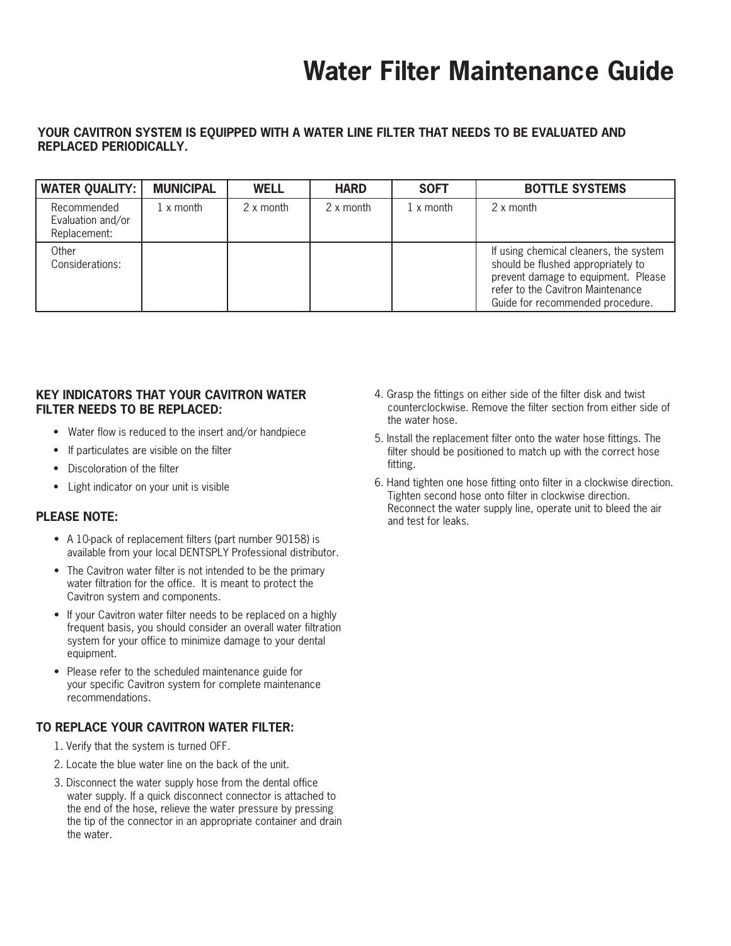# **Water Filter Maintenance Guide**

### **Your Cavitron system is equipped with a water line filter that needs to be evaluated and replaced periodically.**

| <b>WATER QUALITY:  </b>                          | <b>MUNICIPAL</b> | <b>WELL</b> | <b>HARD</b> | <b>SOFT</b>             | <b>BOTTLE SYSTEMS</b>                                                                                                                                                                        |
|--------------------------------------------------|------------------|-------------|-------------|-------------------------|----------------------------------------------------------------------------------------------------------------------------------------------------------------------------------------------|
| Recommended<br>Evaluation and/or<br>Replacement: | 1 x month        | 2 x month   | 2 x month   | $1 \times \text{month}$ | 2 x month                                                                                                                                                                                    |
| Other<br>Considerations:                         |                  |             |             |                         | If using chemical cleaners, the system<br>should be flushed appropriately to<br>prevent damage to equipment. Please<br>refer to the Cavitron Maintenance<br>Guide for recommended procedure. |

### **Key Indicators that your Cavitron water filter needs to be replaced:**

- Water flow is reduced to the insert and/or handpiece
- If particulates are visible on the filter
- Discoloration of the filter
- • Light indicator on your unit is visible

### **Please Note:**

- A 10-pack of replacement filters (part number 90158) is available from your local DENTSPLY Professional distributor.
- The Cavitron water filter is not intended to be the primary water filtration for the office. It is meant to protect the Cavitron system and components.
- If your Cavitron water filter needs to be replaced on a highly frequent basis, you should consider an overall water filtration system for your office to minimize damage to your dental equipment.
- Please refer to the scheduled maintenance guide for your specific Cavitron system for complete maintenance recommendations.

### **To replace your Cavitron water filter:**

- 1. Verify that the system is turned OFF.
- 2. Locate the blue water line on the back of the unit.
- 3. Disconnect the water supply hose from the dental office water supply. If a quick disconnect connector is attached to the end of the hose, relieve the water pressure by pressing the tip of the connector in an appropriate container and drain the water.
- 4. Grasp the fittings on either side of the filter disk and twist counterclockwise. Remove the filter section from either side of the water hose.
- 5. Install the replacement filter onto the water hose fittings. The filter should be positioned to match up with the correct hose fitting.
- 6. Hand tighten one hose fitting onto filter in a clockwise direction. Tighten second hose onto filter in clockwise direction. Reconnect the water supply line, operate unit to bleed the air and test for leaks.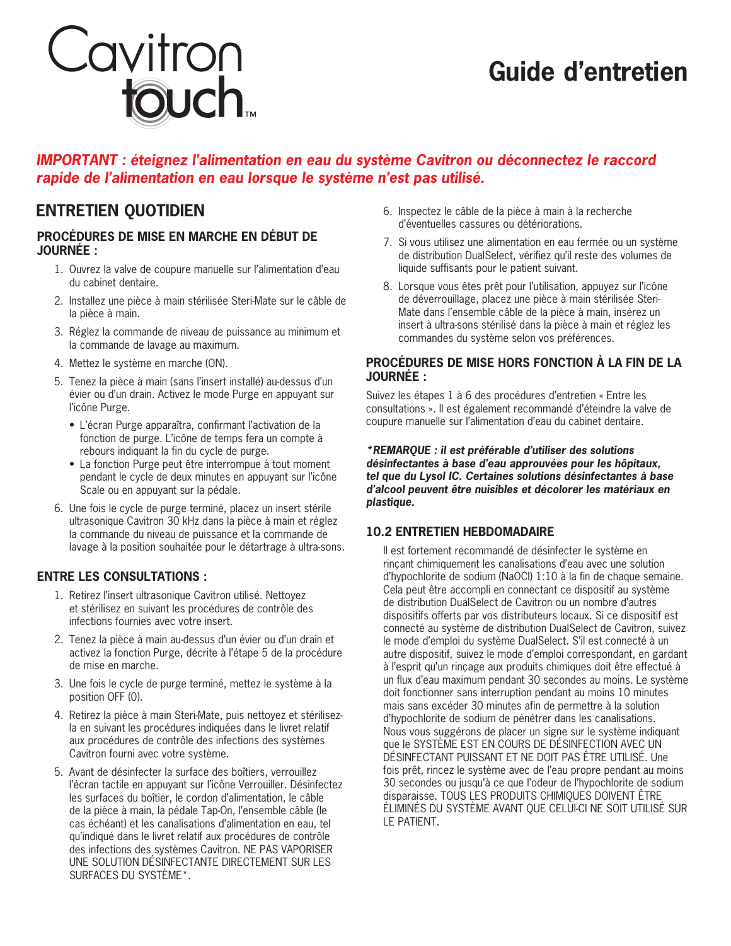# **Guide d'entretien**

### *IMPORTANT : éteignez l'alimentation en eau du système Cavitron ou déconnectez le raccord rapide de l'alimentation en eau lorsque le système n'est pas utilisé.*

### **Procédures de mise en marche en début de journée :**

Cavitron<br>**touch** 

- 1. Ouvrez la valve de coupure manuelle sur l'alimentation d'eau du cabinet dentaire.
- 2. Installez une pièce à main stérilisée Steri-Mate sur le câble de la pièce à main.
- 3. Réglez la commande de niveau de puissance au minimum et la commande de lavage au maximum.
- 4. Mettez le système en marche (ON).
- 5. Tenez la pièce à main (sans l'insert installé) au-dessus d'un évier ou d'un drain. Activez le mode Purge en appuyant sur l'icône Purge.
	- • L'écran Purge apparaîtra, confirmant l'activation de la fonction de purge. L'icône de temps fera un compte à rebours indiquant la fin du cycle de purge.
	- La fonction Purge peut être interrompue à tout moment pendant le cycle de deux minutes en appuyant sur l'icône Scale ou en appuyant sur la pédale.
- 6. Une fois le cycle de purge terminé, placez un insert stérile ultrasonique Cavitron 30 kHz dans la pièce à main et réglez la commande du niveau de puissance et la commande de lavage à la position souhaitée pour le détartrage à ultra-sons.

### **Entre les consultations :**

- 1. Retirez l'insert ultrasonique Cavitron utilisé. Nettoyez et stérilisez en suivant les procédures de contrôle des infections fournies avec votre insert.
- 2. Tenez la pièce à main au-dessus d'un évier ou d'un drain et activez la fonction Purge, décrite à l'étape 5 de la procédure de mise en marche.
- 3. Une fois le cycle de purge terminé, mettez le système à la position OFF (0).
- 4. Retirez la pièce à main Steri-Mate, puis nettoyez et stérilisezla en suivant les procédures indiquées dans le livret relatif aux procédures de contrôle des infections des systèmes Cavitron fourni avec votre système.
- 5. Avant de désinfecter la surface des boîtiers, verrouillez l'écran tactile en appuyant sur l'icône Verrouiller. Désinfectez les surfaces du boîtier, le cordon d'alimentation, le câble de la pièce à main, la pédale Tap-On, l'ensemble câble (le cas échéant) et les canalisations d'alimentation en eau, tel qu'indiqué dans le livret relatif aux procédures de contrôle des infections des systèmes Cavitron. NE PAS VAPORISER UNE SOLUTION DÉSINFECTANTE DIRECTEMENT SUR LES SURFACES DU SYSTÈME\*.
- **ENTRETIEN QUOTIDIEN** 6. Inspectez le câble de la pièce à main à la recherche d'éventuelles cassures ou détériorations.
	- 7. Si vous utilisez une alimentation en eau fermée ou un système de distribution DualSelect, vérifiez qu'il reste des volumes de liquide suffisants pour le patient suivant.
	- 8. Lorsque vous êtes prêt pour l'utilisation, appuyez sur l'icône de déverrouillage, placez une pièce à main stérilisée Steri-Mate dans l'ensemble câble de la pièce à main, insérez un insert à ultra-sons stérilisé dans la pièce à main et réglez les commandes du système selon vos préférences.

### **Procédures de mise hors fonction à la fin de la journée :**

Suivez les étapes 1 à 6 des procédures d'entretien « Entre les consultations ». Il est également recommandé d'éteindre la valve de coupure manuelle sur l'alimentation d'eau du cabinet dentaire.

### *\*REMARQUE : il est préférable d'utiliser des solutions désinfectantes à base d'eau approuvées pour les hôpitaux, tel que du Lysol IC. Certaines solutions désinfectantes à base d'alcool peuvent être nuisibles et décolorer les matériaux en plastique.*

### **10.2 Entretien hebdomadaire**

Il est fortement recommandé de désinfecter le système en rinçant chimiquement les canalisations d'eau avec une solution d'hypochlorite de sodium (NaOCI) 1:10 à la fin de chaque semaine. Cela peut être accompli en connectant ce dispositif au système de distribution DualSelect de Cavitron ou un nombre d'autres dispositifs offerts par vos distributeurs locaux. Si ce dispositif est connecté au système de distribution DualSelect de Cavitron, suivez le mode d'emploi du système DualSelect. S'il est connecté à un autre dispositif, suivez le mode d'emploi correspondant, en gardant à l'esprit qu'un rinçage aux produits chimiques doit être effectué à un flux d'eau maximum pendant 30 secondes au moins. Le système doit fonctionner sans interruption pendant au moins 10 minutes mais sans excéder 30 minutes afin de permettre à la solution d'hypochlorite de sodium de pénétrer dans les canalisations. Nous vous suggérons de placer un signe sur le système indiquant que le SYSTÈME EST EN COURS DE DÉSINFECTION AVEC UN DÉSINFECTANT PUISSANT ET NE DOIT PAS ÊTRE UTILISÉ. Une fois prêt, rincez le système avec de l'eau propre pendant au moins 30 secondes ou jusqu'à ce que l'odeur de l'hypochlorite de sodium disparaisse. TOUS LES PRODUITS CHIMIQUES DOIVENT ÊTRE ÉLIMINÉS DU SYSTÈME AVANT QUE CELUI-CI NE SOIT UTILISÉ SUR LE PATIENT.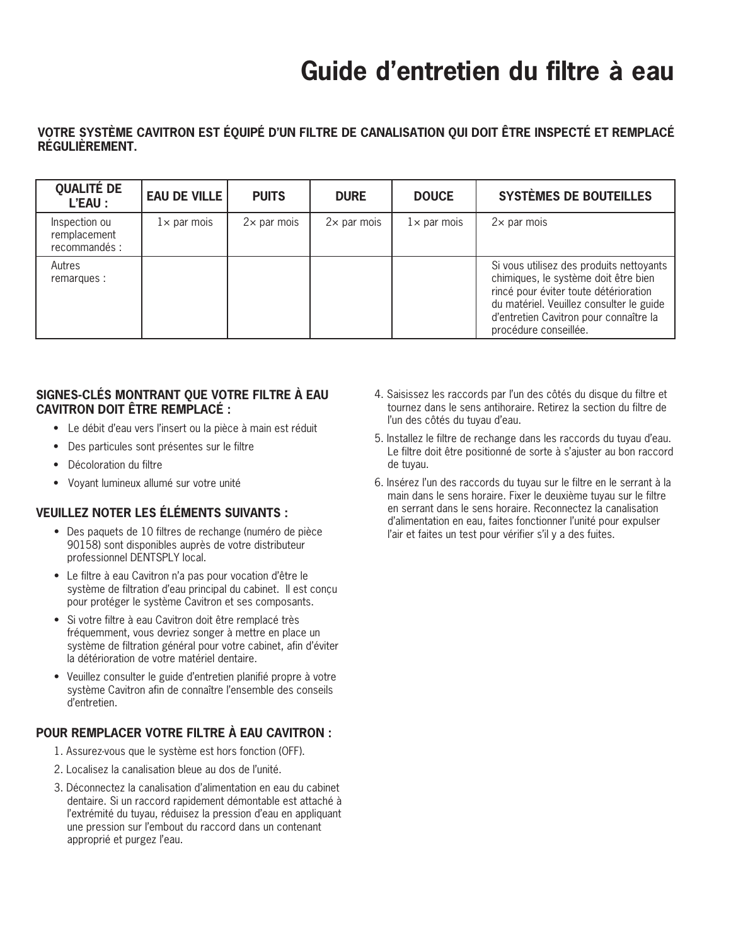# **Guide d'entretien du filtre à eau**

### **Votre système Cavitron est équipé d'un filtre de canalisation qui doit être inspecté et remplacé régulièrement.**

| <b>QUALITÉ DE</b><br>L'EAU :                   | <b>EAU DE VILLE</b> | <b>PUITS</b>       | <b>DURE</b>        | <b>DOUCE</b>       | <b>SYSTÈMES DE BOUTEILLES</b>                                                                                                                                                                                                            |
|------------------------------------------------|---------------------|--------------------|--------------------|--------------------|------------------------------------------------------------------------------------------------------------------------------------------------------------------------------------------------------------------------------------------|
| Inspection ou<br>remplacement<br>recommandés : | $1\times$ par mois  | $2\times$ par mois | $2\times$ par mois | $1\times$ par mois | $2\times$ par mois                                                                                                                                                                                                                       |
| Autres<br>remarques :                          |                     |                    |                    |                    | Si vous utilisez des produits nettoyants<br>chimiques, le système doit être bien<br>rincé pour éviter toute détérioration<br>du matériel. Veuillez consulter le guide<br>d'entretien Cavitron pour connaître la<br>procédure conseillée. |

### **Signes-clés montrant que votre filtre à eau Cavitron doit être remplacé :**

- • Le débit d'eau vers l'insert ou la pièce à main est réduit
- • Des particules sont présentes sur le filtre
- • Décoloration du filtre
- • Voyant lumineux allumé sur votre unité

### **Veuillez noter les éléments suivants :**

- • Des paquets de 10 filtres de rechange (numéro de pièce 90158) sont disponibles auprès de votre distributeur professionnel DENTSPLY local.
- • Le filtre à eau Cavitron n'a pas pour vocation d'être le système de filtration d'eau principal du cabinet. Il est conçu pour protéger le système Cavitron et ses composants.
- • Si votre filtre à eau Cavitron doit être remplacé très fréquemment, vous devriez songer à mettre en place un système de filtration général pour votre cabinet, afin d'éviter la détérioration de votre matériel dentaire.
- • Veuillez consulter le guide d'entretien planifié propre à votre système Cavitron afin de connaître l'ensemble des conseils d'entretien.

### **Pour remplacer votre filtre à eau Cavitron :**

- 1. Assurez-vous que le système est hors fonction (OFF).
- 2. Localisez la canalisation bleue au dos de l'unité.
- 3. Déconnectez la canalisation d'alimentation en eau du cabinet dentaire. Si un raccord rapidement démontable est attaché à l'extrémité du tuyau, réduisez la pression d'eau en appliquant une pression sur l'embout du raccord dans un contenant approprié et purgez l'eau.
- 4. Saisissez les raccords par l'un des côtés du disque du filtre et tournez dans le sens antihoraire. Retirez la section du filtre de l'un des côtés du tuyau d'eau.
- 5. Installez le filtre de rechange dans les raccords du tuyau d'eau. Le filtre doit être positionné de sorte à s'ajuster au bon raccord de tuyau.
- 6. Insérez l'un des raccords du tuyau sur le filtre en le serrant à la main dans le sens horaire. Fixer le deuxième tuyau sur le filtre en serrant dans le sens horaire. Reconnectez la canalisation d'alimentation en eau, faites fonctionner l'unité pour expulser l'air et faites un test pour vérifier s'il y a des fuites.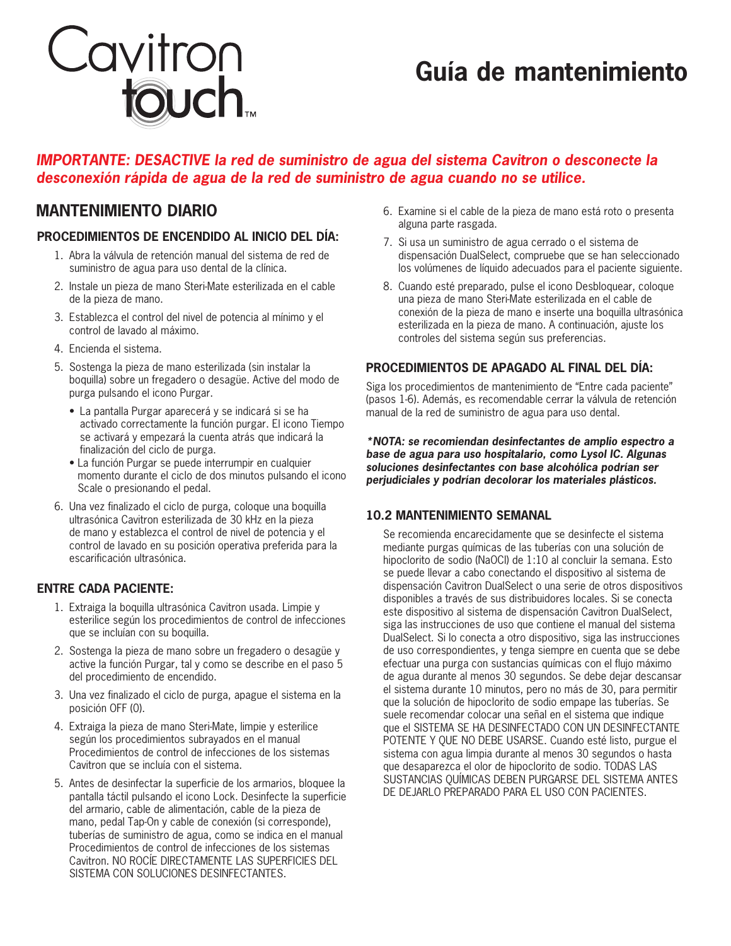

# **Guía de mantenimiento**

### *IMPORTANTE: DESACTIVE la red de suministro de agua del sistema Cavitron o desconecte la desconexión rápida de agua de la red de suministro de agua cuando no se utilice.*

### **Procedimientos de encendido al inicio del día:**

- 1. Abra la válvula de retención manual del sistema de red de suministro de agua para uso dental de la clínica.
- 2. Instale un pieza de mano Steri-Mate esterilizada en el cable de la pieza de mano.
- 3. Establezca el control del nivel de potencia al mínimo y el control de lavado al máximo.
- 4. Encienda el sistema.
- 5. Sostenga la pieza de mano esterilizada (sin instalar la boquilla) sobre un fregadero o desagüe. Active del modo de purga pulsando el icono Purgar.
	- • La pantalla Purgar aparecerá y se indicará si se ha activado correctamente la función purgar. El icono Tiempo se activará y empezará la cuenta atrás que indicará la finalización del ciclo de purga.
	- La función Purgar se puede interrumpir en cualquier momento durante el ciclo de dos minutos pulsando el icono Scale o presionando el pedal.
- 6. Una vez finalizado el ciclo de purga, coloque una boquilla ultrasónica Cavitron esterilizada de 30 kHz en la pieza de mano y establezca el control de nivel de potencia y el control de lavado en su posición operativa preferida para la escarificación ultrasónica.

### **Entre cada paciente:**

- 1. Extraiga la boquilla ultrasónica Cavitron usada. Limpie y esterilice según los procedimientos de control de infecciones que se incluían con su boquilla.
- 2. Sostenga la pieza de mano sobre un fregadero o desagüe y active la función Purgar, tal y como se describe en el paso 5 del procedimiento de encendido.
- 3. Una vez finalizado el ciclo de purga, apague el sistema en la posición OFF (0).
- 4. Extraiga la pieza de mano Steri-Mate, limpie y esterilice según los procedimientos subrayados en el manual Procedimientos de control de infecciones de los sistemas Cavitron que se incluía con el sistema.
- 5. Antes de desinfectar la superficie de los armarios, bloquee la pantalla táctil pulsando el icono Lock. Desinfecte la superficie del armario, cable de alimentación, cable de la pieza de mano, pedal Tap-On y cable de conexión (si corresponde), tuberías de suministro de agua, como se indica en el manual Procedimientos de control de infecciones de los sistemas Cavitron. NO ROCÍE DIRECTAMENTE LAS SUPERFICIES DEL SISTEMA CON SOLUCIONES DESINFECTANTES.
- **MANTENIMIENTO DIARIO** 6. Examine si el cable de la pieza de mano está roto o presenta alguna parte rasgada.
	- 7. Si usa un suministro de agua cerrado o el sistema de dispensación DualSelect, compruebe que se han seleccionado los volúmenes de líquido adecuados para el paciente siguiente.
	- 8. Cuando esté preparado, pulse el icono Desbloquear, coloque una pieza de mano Steri-Mate esterilizada en el cable de conexión de la pieza de mano e inserte una boquilla ultrasónica esterilizada en la pieza de mano. A continuación, ajuste los controles del sistema según sus preferencias.

### **Procedimientos de apagado al final del día:**

Siga los procedimientos de mantenimiento de "Entre cada paciente" (pasos 1-6). Además, es recomendable cerrar la válvula de retención manual de la red de suministro de agua para uso dental.

*\*NOTA: se recomiendan desinfectantes de amplio espectro a base de agua para uso hospitalario, como Lysol IC. Algunas soluciones desinfectantes con base alcohólica podrían ser perjudiciales y podrían decolorar los materiales plásticos.*

### **10.2 Mantenimiento semanal**

Se recomienda encarecidamente que se desinfecte el sistema mediante purgas químicas de las tuberías con una solución de hipoclorito de sodio (NaOCl) de 1:10 al concluir la semana. Esto se puede llevar a cabo conectando el dispositivo al sistema de dispensación Cavitron DualSelect o una serie de otros dispositivos disponibles a través de sus distribuidores locales. Si se conecta este dispositivo al sistema de dispensación Cavitron DualSelect, siga las instrucciones de uso que contiene el manual del sistema DualSelect. Si lo conecta a otro dispositivo, siga las instrucciones de uso correspondientes, y tenga siempre en cuenta que se debe efectuar una purga con sustancias químicas con el flujo máximo de agua durante al menos 30 segundos. Se debe dejar descansar el sistema durante 10 minutos, pero no más de 30, para permitir que la solución de hipoclorito de sodio empape las tuberías. Se suele recomendar colocar una señal en el sistema que indique que el SISTEMA SE HA DESINFECTADO CON UN DESINFECTANTE POTENTE Y QUE NO DEBE USARSE. Cuando esté listo, purgue el sistema con agua limpia durante al menos 30 segundos o hasta que desaparezca el olor de hipoclorito de sodio. TODAS LAS SUSTANCIAS QUÍMICAS DEBEN PURGARSE DEL SISTEMA ANTES DE DEJARLO PREPARADO PARA EL USO CON PACIENTES.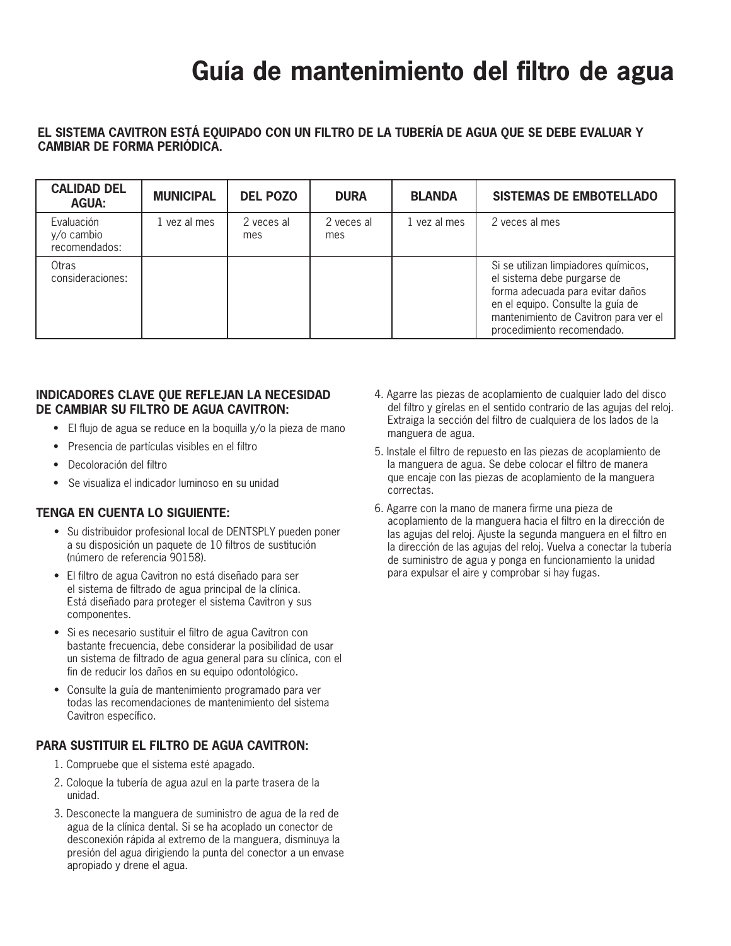# **Guía de mantenimiento del filtro de agua**

### **El sistema Cavitron está equipado con un filtro de la tubería de agua que se debe evaluar y cambiar de forma periódica.**

| <b>CALIDAD DEL</b><br><b>AGUA:</b>              | <b>MUNICIPAL</b> | <b>DEL POZO</b>   | <b>DURA</b>       | <b>BLANDA</b> | <b>SISTEMAS DE EMBOTELLADO</b>                                                                                                                                                                                      |
|-------------------------------------------------|------------------|-------------------|-------------------|---------------|---------------------------------------------------------------------------------------------------------------------------------------------------------------------------------------------------------------------|
| Evaluación<br>$y$ / $o$ cambio<br>recomendados: | 1 yez al mes     | 2 veces al<br>mes | 2 veces al<br>mes | 1 yez al mes  | 2 veces al mes                                                                                                                                                                                                      |
| Otras<br>consideraciones:                       |                  |                   |                   |               | Si se utilizan limpiadores químicos,<br>el sistema debe purgarse de<br>forma adecuada para evitar daños<br>en el equipo. Consulte la guía de<br>mantenimiento de Cavitron para ver el<br>procedimiento recomendado. |

### **Indicadores clave que reflejan la necesidad de cambiar su filtro de agua Cavitron:**

- El flujo de agua se reduce en la boquilla y/o la pieza de mano
- • Presencia de partículas visibles en el filtro
- • Decoloración del filtro
- • Se visualiza el indicador luminoso en su unidad

### **Tenga en cuenta lo siguiente:**

- Su distribuidor profesional local de DENTSPLY pueden poner a su disposición un paquete de 10 filtros de sustitución (número de referencia 90158).
- • El filtro de agua Cavitron no está diseñado para ser el sistema de filtrado de agua principal de la clínica. Está diseñado para proteger el sistema Cavitron y sus componentes.
- • Si es necesario sustituir el filtro de agua Cavitron con bastante frecuencia, debe considerar la posibilidad de usar un sistema de filtrado de agua general para su clínica, con el fin de reducir los daños en su equipo odontológico.
- • Consulte la guía de mantenimiento programado para ver todas las recomendaciones de mantenimiento del sistema Cavitron específico.

### **Para sustituir el filtro de agua Cavitron:**

- 1. Compruebe que el sistema esté apagado.
- 2. Coloque la tubería de agua azul en la parte trasera de la unidad.
- 3. Desconecte la manguera de suministro de agua de la red de agua de la clínica dental. Si se ha acoplado un conector de desconexión rápida al extremo de la manguera, disminuya la presión del agua dirigiendo la punta del conector a un envase apropiado y drene el agua.
- 4. Agarre las piezas de acoplamiento de cualquier lado del disco del filtro y gírelas en el sentido contrario de las agujas del reloj. Extraiga la sección del filtro de cualquiera de los lados de la manguera de agua.
- 5. Instale el filtro de repuesto en las piezas de acoplamiento de la manguera de agua. Se debe colocar el filtro de manera que encaje con las piezas de acoplamiento de la manguera correctas.
- 6. Agarre con la mano de manera firme una pieza de acoplamiento de la manguera hacia el filtro en la dirección de las agujas del reloj. Ajuste la segunda manguera en el filtro en la dirección de las agujas del reloj. Vuelva a conectar la tubería de suministro de agua y ponga en funcionamiento la unidad para expulsar el aire y comprobar si hay fugas.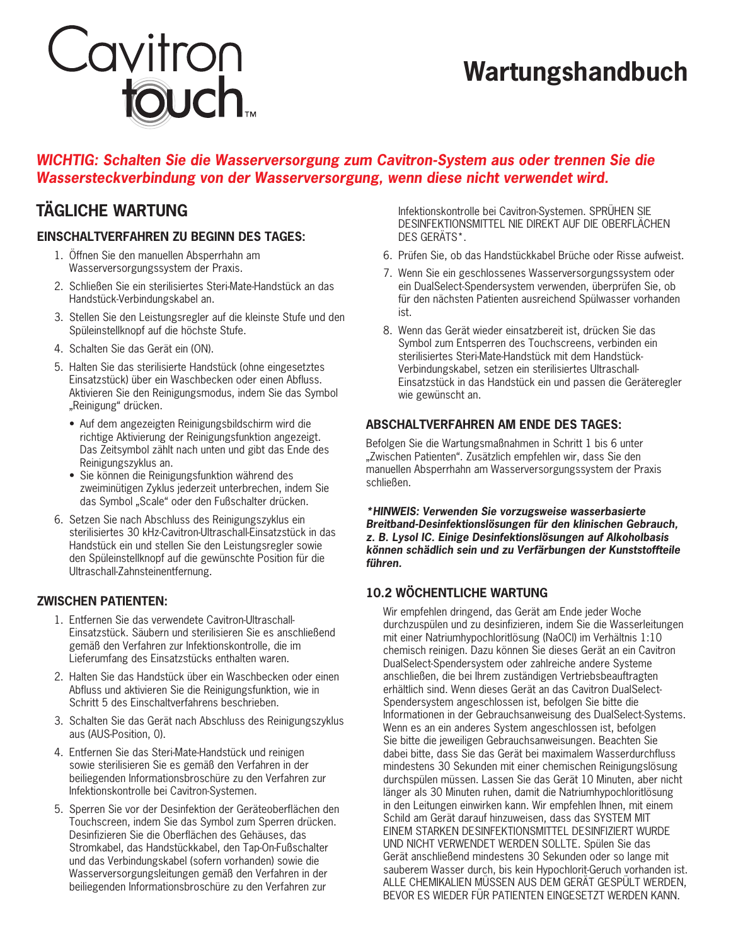# Cavitron<br>**touch**

# **Wartungshandbuch**

### *WICHTIG: Schalten Sie die Wasserversorgung zum Cavitron-System aus oder trennen Sie die Wassersteckverbindung von der Wasserversorgung, wenn diese nicht verwendet wird.*

### **Einschaltverfahren zu Beginn des Tages:**

- 1. Öffnen Sie den manuellen Absperrhahn am Wasserversorgungssystem der Praxis.
- 2. Schließen Sie ein sterilisiertes Steri-Mate-Handstück an das Handstück-Verbindungskabel an.
- 3. Stellen Sie den Leistungsregler auf die kleinste Stufe und den Spüleinstellknopf auf die höchste Stufe.
- 4. Schalten Sie das Gerät ein (ON).
- 5. Halten Sie das sterilisierte Handstück (ohne eingesetztes Einsatzstück) über ein Waschbecken oder einen Abfluss. Aktivieren Sie den Reinigungsmodus, indem Sie das Symbol "Reinigung" drücken.
	- Auf dem angezeigten Reinigungsbildschirm wird die richtige Aktivierung der Reinigungsfunktion angezeigt. Das Zeitsymbol zählt nach unten und gibt das Ende des Reinigungszyklus an.
	- Sie können die Reinigungsfunktion während des zweiminütigen Zyklus jederzeit unterbrechen, indem Sie das Symbol "Scale" oder den Fußschalter drücken.
- 6. Setzen Sie nach Abschluss des Reinigungszyklus ein sterilisiertes 30 kHz-Cavitron-Ultraschall-Einsatzstück in das Handstück ein und stellen Sie den Leistungsregler sowie den Spüleinstellknopf auf die gewünschte Position für die Ultraschall-Zahnsteinentfernung.

### **Zwischen Patienten:**

- 1. Entfernen Sie das verwendete Cavitron-Ultraschall-Einsatzstück. Säubern und sterilisieren Sie es anschließend gemäß den Verfahren zur Infektionskontrolle, die im Lieferumfang des Einsatzstücks enthalten waren.
- 2. Halten Sie das Handstück über ein Waschbecken oder einen Abfluss und aktivieren Sie die Reinigungsfunktion, wie in Schritt 5 des Einschaltverfahrens beschrieben.
- 3. Schalten Sie das Gerät nach Abschluss des Reinigungszyklus aus (AUS-Position, 0).
- 4. Entfernen Sie das Steri-Mate-Handstück und reinigen sowie sterilisieren Sie es gemäß den Verfahren in der beiliegenden Informationsbroschüre zu den Verfahren zur Infektionskontrolle bei Cavitron-Systemen.
- 5. Sperren Sie vor der Desinfektion der Geräteoberflächen den Touchscreen, indem Sie das Symbol zum Sperren drücken. Desinfizieren Sie die Oberflächen des Gehäuses, das Stromkabel, das Handstückkabel, den Tap-On-Fußschalter und das Verbindungskabel (sofern vorhanden) sowie die Wasserversorgungsleitungen gemäß den Verfahren in der beiliegenden Informationsbroschüre zu den Verfahren zur

**TÄGLICHE WARTUNG Infektionskontrolle bei Cavitron-Systemen. SPRÜHEN SIE** DESINFEKTIONSMITTEL NIE DIREKT AUF DIE OBERFLÄCHEN DES GERÄTS\*.

- 6. Prüfen Sie, ob das Handstückkabel Brüche oder Risse aufweist.
- 7. Wenn Sie ein geschlossenes Wasserversorgungssystem oder ein DualSelect-Spendersystem verwenden, überprüfen Sie, ob für den nächsten Patienten ausreichend Spülwasser vorhanden ist.
- 8. Wenn das Gerät wieder einsatzbereit ist, drücken Sie das Symbol zum Entsperren des Touchscreens, verbinden ein sterilisiertes Steri-Mate-Handstück mit dem Handstück-Verbindungskabel, setzen ein sterilisiertes Ultraschall-Einsatzstück in das Handstück ein und passen die Geräteregler wie gewünscht an.

### **Abschaltverfahren am Ende des Tages:**

Befolgen Sie die Wartungsmaßnahmen in Schritt 1 bis 6 unter "Zwischen Patienten". Zusätzlich empfehlen wir, dass Sie den manuellen Absperrhahn am Wasserversorgungssystem der Praxis schließen.

*\*HINWEIS: Verwenden Sie vorzugsweise wasserbasierte Breitband-Desinfektionslösungen für den klinischen Gebrauch, z. B. Lysol IC. Einige Desinfektionslösungen auf Alkoholbasis können schädlich sein und zu Verfärbungen der Kunststoffteile führen.*

### **10.2 Wöchentliche Wartung**

Wir empfehlen dringend, das Gerät am Ende jeder Woche durchzuspülen und zu desinfizieren, indem Sie die Wasserleitungen mit einer Natriumhypochloritlösung (NaOCl) im Verhältnis 1:10 chemisch reinigen. Dazu können Sie dieses Gerät an ein Cavitron DualSelect-Spendersystem oder zahlreiche andere Systeme anschließen, die bei Ihrem zuständigen Vertriebsbeauftragten erhältlich sind. Wenn dieses Gerät an das Cavitron DualSelect-Spendersystem angeschlossen ist, befolgen Sie bitte die Informationen in der Gebrauchsanweisung des DualSelect-Systems. Wenn es an ein anderes System angeschlossen ist, befolgen Sie bitte die jeweiligen Gebrauchsanweisungen. Beachten Sie dabei bitte, dass Sie das Gerät bei maximalem Wasserdurchfluss mindestens 30 Sekunden mit einer chemischen Reinigungslösung durchspülen müssen. Lassen Sie das Gerät 10 Minuten, aber nicht länger als 30 Minuten ruhen, damit die Natriumhypochloritlösung in den Leitungen einwirken kann. Wir empfehlen Ihnen, mit einem Schild am Gerät darauf hinzuweisen, dass das SYSTEM MIT EINEM STARKEN DESINFEKTIONSMITTEL DESINFIZIERT WURDE UND NICHT VERWENDET WERDEN SOLLTE. Spülen Sie das Gerät anschließend mindestens 30 Sekunden oder so lange mit sauberem Wasser durch, bis kein Hypochlorit-Geruch vorhanden ist. ALLE CHEMIKALIEN MÜSSEN AUS DEM GERÄT GESPÜLT WERDEN, BEVOR ES WIEDER FÜR PATIENTEN EINGESETZT WERDEN KANN.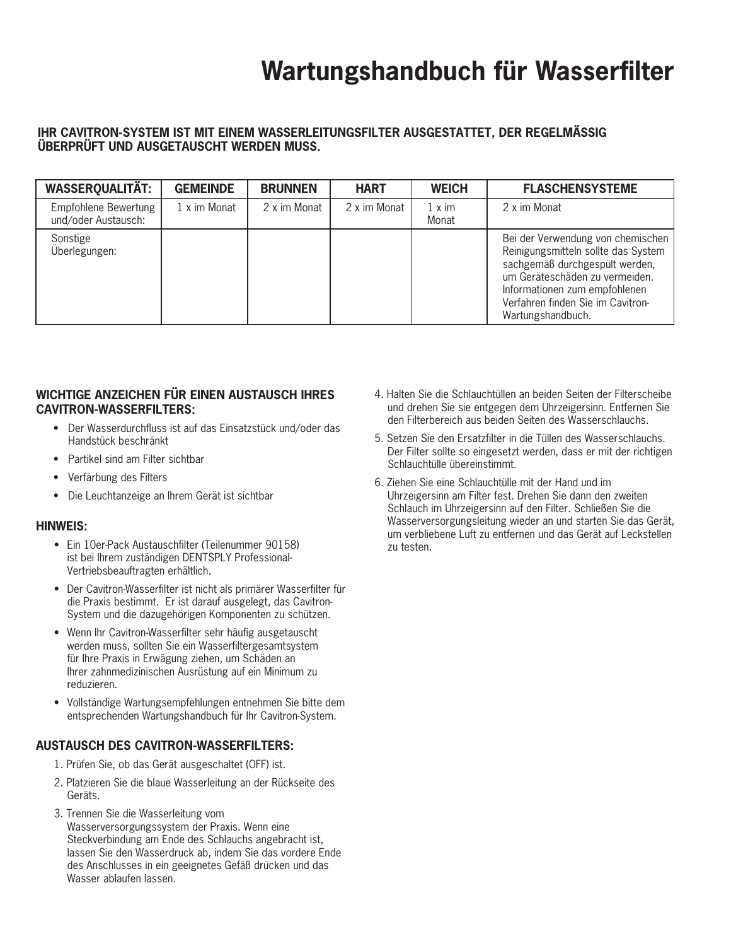# **Wartungshandbuch für Wasserfilter**

### **Ihr Cavitron-System ist mit einem Wasserleitungsfilter ausgestattet, der regelmäSSig überprüft und ausgetauscht werden muss.**

| <b>WASSERQUALITÄT:</b>                      | <b>GEMEINDE</b> | <b>BRUNNEN</b> | <b>HART</b>  | <b>WEICH</b>           | <b>FLASCHENSYSTEME</b>                                                                                                                                                                                                                  |
|---------------------------------------------|-----------------|----------------|--------------|------------------------|-----------------------------------------------------------------------------------------------------------------------------------------------------------------------------------------------------------------------------------------|
| Empfohlene Bewertung<br>und/oder Austausch: | 1 x im Monat    | 2 x im Monat   | 2 x im Monat | $1 \times im$<br>Monat | 2 x im Monat                                                                                                                                                                                                                            |
| Sonstige<br>Überlegungen:                   |                 |                |              |                        | Bei der Verwendung von chemischen<br>Reinigungsmitteln sollte das System<br>sachgemäß durchgespült werden,<br>um Geräteschäden zu vermeiden.<br>Informationen zum empfohlenen<br>Verfahren finden Sie im Cavitron-<br>Wartungshandbuch. |

### **Wichtige Anzeichen für einen Austausch Ihres Cavitron-Wasserfilters:**

- Der Wasserdurchfluss ist auf das Einsatzstück und/oder das Handstück beschränkt
- Partikel sind am Filter sichtbar
- • Verfärbung des Filters
- • Die Leuchtanzeige an Ihrem Gerät ist sichtbar

### **Hinweis:**

- • Ein 10er-Pack Austauschfilter (Teilenummer 90158) ist bei Ihrem zuständigen DENTSPLY Professional-Vertriebsbeauftragten erhältlich.
- • Der Cavitron-Wasserfilter ist nicht als primärer Wasserfilter für die Praxis bestimmt. Er ist darauf ausgelegt, das Cavitron-System und die dazugehörigen Komponenten zu schützen.
- Wenn Ihr Cavitron-Wasserfilter sehr häufig ausgetauscht werden muss, sollten Sie ein Wasserfiltergesamtsystem für Ihre Praxis in Erwägung ziehen, um Schäden an Ihrer zahnmedizinischen Ausrüstung auf ein Minimum zu reduzieren.
- • Vollständige Wartungsempfehlungen entnehmen Sie bitte dem entsprechenden Wartungshandbuch für Ihr Cavitron-System.

### **Austausch des Cavitron-Wasserfilters:**

- 1. Prüfen Sie, ob das Gerät ausgeschaltet (OFF) ist.
- 2. Platzieren Sie die blaue Wasserleitung an der Rückseite des Geräts.
- 3. Trennen Sie die Wasserleitung vom Wasserversorgungssystem der Praxis. Wenn eine Steckverbindung am Ende des Schlauchs angebracht ist, lassen Sie den Wasserdruck ab, indem Sie das vordere Ende des Anschlusses in ein geeignetes Gefäß drücken und das Wasser ablaufen lassen.
- 4. Halten Sie die Schlauchtüllen an beiden Seiten der Filterscheibe und drehen Sie sie entgegen dem Uhrzeigersinn. Entfernen Sie den Filterbereich aus beiden Seiten des Wasserschlauchs.
- 5. Setzen Sie den Ersatzfilter in die Tüllen des Wasserschlauchs. Der Filter sollte so eingesetzt werden, dass er mit der richtigen Schlauchtülle übereinstimmt.
- 6. Ziehen Sie eine Schlauchtülle mit der Hand und im Uhrzeigersinn am Filter fest. Drehen Sie dann den zweiten Schlauch im Uhrzeigersinn auf den Filter. Schließen Sie die Wasserversorgungsleitung wieder an und starten Sie das Gerät, um verbliebene Luft zu entfernen und das Gerät auf Leckstellen zu testen.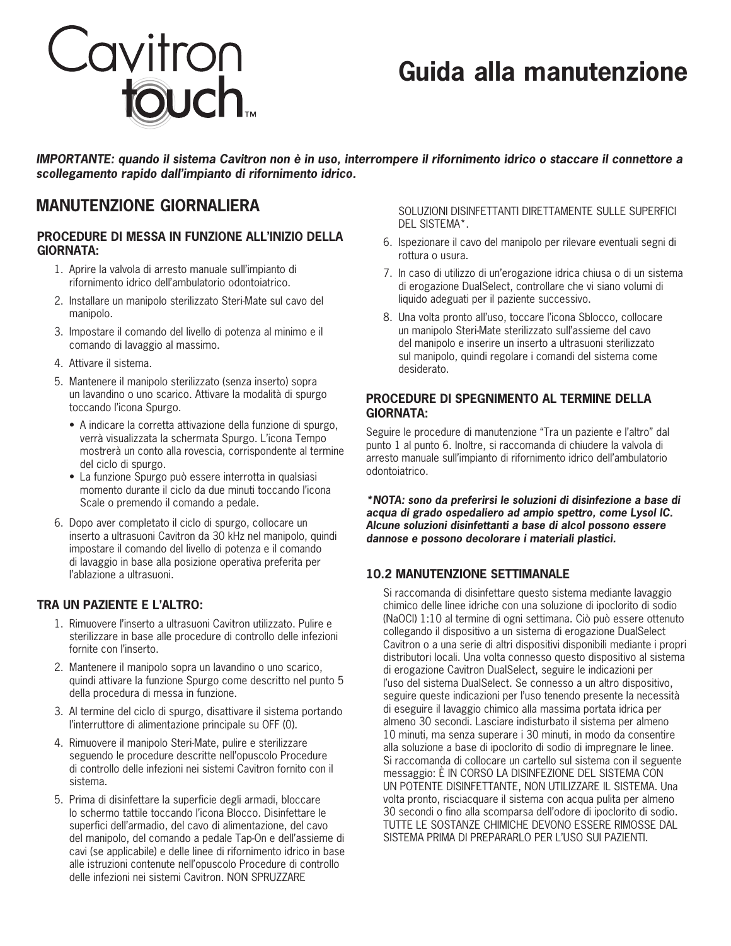

# **Guida alla manutenzione**

*IMPORTANTE: quando il sistema Cavitron non è in uso, interrompere il rifornimento idrico o staccare il connettore a scollegamento rapido dall'impianto di rifornimento idrico.*

### **MANUTENZIONE GIORNALIERA** SOLUZIONI DISINFETTANTI DIRETTAMENTE SULLE SUPERFICI

### **Procedure di messa in funzione all'inizio della GIORNATA:**

- 1. Aprire la valvola di arresto manuale sull'impianto di rifornimento idrico dell'ambulatorio odontoiatrico.
- 2. Installare un manipolo sterilizzato Steri-Mate sul cavo del manipolo.
- 3. Impostare il comando del livello di potenza al minimo e il comando di lavaggio al massimo.
- 4. Attivare il sistema.
- 5. Mantenere il manipolo sterilizzato (senza inserto) sopra un lavandino o uno scarico. Attivare la modalità di spurgo toccando l'icona Spurgo.
	- A indicare la corretta attivazione della funzione di spurgo, verrà visualizzata la schermata Spurgo. L'icona Tempo mostrerà un conto alla rovescia, corrispondente al termine del ciclo di spurgo.
	- La funzione Spurgo può essere interrotta in qualsiasi momento durante il ciclo da due minuti toccando l'icona Scale o premendo il comando a pedale.
- 6. Dopo aver completato il ciclo di spurgo, collocare un inserto a ultrasuoni Cavitron da 30 kHz nel manipolo, quindi impostare il comando del livello di potenza e il comando di lavaggio in base alla posizione operativa preferita per l'ablazione a ultrasuoni.

### **Tra un paziente e l'altro:**

- 1. Rimuovere l'inserto a ultrasuoni Cavitron utilizzato. Pulire e sterilizzare in base alle procedure di controllo delle infezioni fornite con l'inserto.
- 2. Mantenere il manipolo sopra un lavandino o uno scarico, quindi attivare la funzione Spurgo come descritto nel punto 5 della procedura di messa in funzione.
- 3. Al termine del ciclo di spurgo, disattivare il sistema portando l'interruttore di alimentazione principale su OFF (0).
- 4. Rimuovere il manipolo Steri-Mate, pulire e sterilizzare seguendo le procedure descritte nell'opuscolo Procedure di controllo delle infezioni nei sistemi Cavitron fornito con il sistema.
- 5. Prima di disinfettare la superficie degli armadi, bloccare lo schermo tattile toccando l'icona Blocco. Disinfettare le superfici dell'armadio, del cavo di alimentazione, del cavo del manipolo, del comando a pedale Tap-On e dell'assieme di cavi (se applicabile) e delle linee di rifornimento idrico in base alle istruzioni contenute nell'opuscolo Procedure di controllo delle infezioni nei sistemi Cavitron. NON SPRUZZARE

DEL SISTEMA\*.

- 6. Ispezionare il cavo del manipolo per rilevare eventuali segni di rottura o usura.
- 7. In caso di utilizzo di un'erogazione idrica chiusa o di un sistema di erogazione DualSelect, controllare che vi siano volumi di liquido adeguati per il paziente successivo.
- 8. Una volta pronto all'uso, toccare l'icona Sblocco, collocare un manipolo Steri-Mate sterilizzato sull'assieme del cavo del manipolo e inserire un inserto a ultrasuoni sterilizzato sul manipolo, quindi regolare i comandi del sistema come desiderato.

### **Procedure di spegnimento al termine della giornata:**

Seguire le procedure di manutenzione "Tra un paziente e l'altro" dal punto 1 al punto 6. Inoltre, si raccomanda di chiudere la valvola di arresto manuale sull'impianto di rifornimento idrico dell'ambulatorio odontoiatrico.

*\*NOTA: sono da preferirsi le soluzioni di disinfezione a base di acqua di grado ospedaliero ad ampio spettro, come Lysol IC. Alcune soluzioni disinfettanti a base di alcol possono essere dannose e possono decolorare i materiali plastici.*

### **10.2 Manutenzione settimanale**

Si raccomanda di disinfettare questo sistema mediante lavaggio chimico delle linee idriche con una soluzione di ipoclorito di sodio (NaOCl) 1:10 al termine di ogni settimana. Ciò può essere ottenuto collegando il dispositivo a un sistema di erogazione DualSelect Cavitron o a una serie di altri dispositivi disponibili mediante i propri distributori locali. Una volta connesso questo dispositivo al sistema di erogazione Cavitron DualSelect, seguire le indicazioni per l'uso del sistema DualSelect. Se connesso a un altro dispositivo, seguire queste indicazioni per l'uso tenendo presente la necessità di eseguire il lavaggio chimico alla massima portata idrica per almeno 30 secondi. Lasciare indisturbato il sistema per almeno 10 minuti, ma senza superare i 30 minuti, in modo da consentire alla soluzione a base di ipoclorito di sodio di impregnare le linee. Si raccomanda di collocare un cartello sul sistema con il seguente messaggio: È IN CORSO LA DISINFEZIONE DEL SISTEMA CON UN POTENTE DISINFETTANTE, NON UTILIZZARE IL SISTEMA. Una volta pronto, risciacquare il sistema con acqua pulita per almeno 30 secondi o fino alla scomparsa dell'odore di ipoclorito di sodio. TUTTE LE SOSTANZE CHIMICHE DEVONO ESSERE RIMOSSE DAL SISTEMA PRIMA DI PREPARARLO PER L'USO SUI PAZIENTI.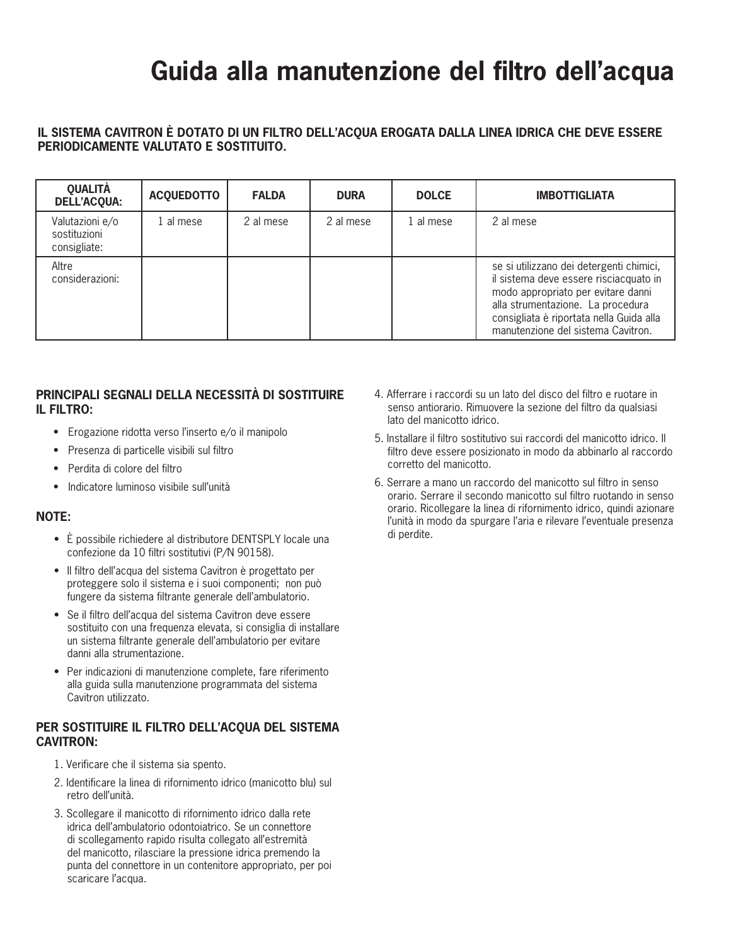# **Guida alla manutenzione del filtro dell'acqua**

### **Il sistema Cavitron è dotato di un filtro dell'acqua erogata dalla linea idrica che deve essere periodicamente valutato e sostituito.**

| <b>QUALITÀ</b><br><b>DELL'ACQUA:</b>            | <b>ACQUEDOTTO</b> | <b>FALDA</b> | <b>DURA</b> | <b>DOLCE</b> | <b>IMBOTTIGLIATA</b>                                                                                                                                                                                                                            |
|-------------------------------------------------|-------------------|--------------|-------------|--------------|-------------------------------------------------------------------------------------------------------------------------------------------------------------------------------------------------------------------------------------------------|
| Valutazioni e/o<br>sostituzioni<br>consigliate: | 1 al mese         | 2 al mese    | 2 al mese   | 1 al mese    | 2 al mese                                                                                                                                                                                                                                       |
| Altre<br>considerazioni:                        |                   |              |             |              | se si utilizzano dei detergenti chimici,<br>il sistema deve essere risciacquato in<br>modo appropriato per evitare danni<br>alla strumentazione. La procedura<br>consigliata è riportata nella Guida alla<br>manutenzione del sistema Cavitron. |

### **Principali segnali della necessità di sostituire il filtro:**

- • Erogazione ridotta verso l'inserto e/o il manipolo
- • Presenza di particelle visibili sul filtro
- • Perdita di colore del filtro
- • Indicatore luminoso visibile sull'unità

### **NOTE:**

- È possibile richiedere al distributore DENTSPLY locale una confezione da 10 filtri sostitutivi (P/N 90158).
- Il filtro dell'acqua del sistema Cavitron è progettato per proteggere solo il sistema e i suoi componenti; non può fungere da sistema filtrante generale dell'ambulatorio.
- Se il filtro dell'acqua del sistema Cavitron deve essere sostituito con una frequenza elevata, si consiglia di installare un sistema filtrante generale dell'ambulatorio per evitare danni alla strumentazione.
- Per indicazioni di manutenzione complete, fare riferimento alla guida sulla manutenzione programmata del sistema Cavitron utilizzato.

### **Per sostituire il filtro dell'acqua del sistema Cavitron:**

- 1. Verificare che il sistema sia spento.
- 2. Identificare la linea di rifornimento idrico (manicotto blu) sul retro dell'unità.
- 3. Scollegare il manicotto di rifornimento idrico dalla rete idrica dell'ambulatorio odontoiatrico. Se un connettore di scollegamento rapido risulta collegato all'estremità del manicotto, rilasciare la pressione idrica premendo la punta del connettore in un contenitore appropriato, per poi scaricare l'acqua.
- 4. Afferrare i raccordi su un lato del disco del filtro e ruotare in senso antiorario. Rimuovere la sezione del filtro da qualsiasi lato del manicotto idrico.
- 5. Installare il filtro sostitutivo sui raccordi del manicotto idrico. Il filtro deve essere posizionato in modo da abbinarlo al raccordo corretto del manicotto.
- 6. Serrare a mano un raccordo del manicotto sul filtro in senso orario. Serrare il secondo manicotto sul filtro ruotando in senso orario. Ricollegare la linea di rifornimento idrico, quindi azionare l'unità in modo da spurgare l'aria e rilevare l'eventuale presenza di perdite.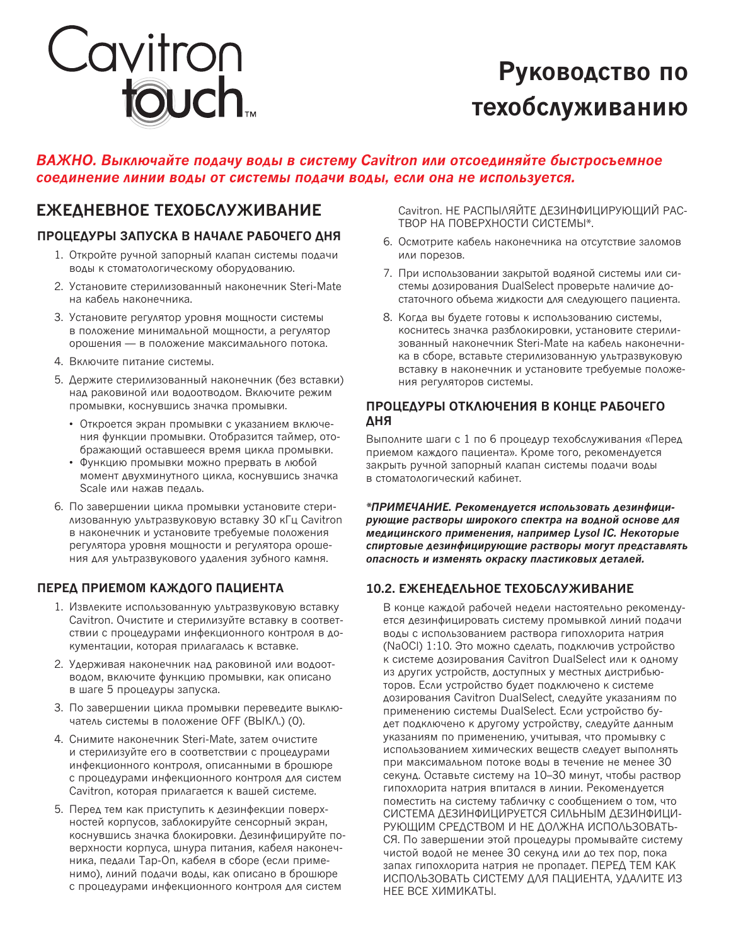

# **Руководство по техобслуживанию**

### **ВАЖНО. Выключайте подачу воды в систему Cavitron или отсоединяйте быстросъемное соединение линии воды от системы подачи воды, если она не используется.**

### **ЕЖЕДНЕВНОЕ ТЕХОБСЛУЖИВАНИЕ** Саvitron. НЕ РАСПЫЛЯЙТЕ ДЕЗИНФИЦИРУЮЩИЙ РАС-

### **Процедуры запуска в начале рабочего дня**

- 1. Откройте ручной запорный клапан системы подачи воды к стоматологическому оборудованию.
- 2. Установите стерилизованный наконечник Steri-Mate на кабель наконечника.
- 3. Установите регулятор уровня мощности системы в положение минимальной мощности, а регулятор орошения — в положение максимального потока.
- 4. Включите питание системы.
- 5. Держите стерилизованный наконечник (без вставки) над раковиной или водоотводом. Включите режим промывки, коснувшись значка промывки.
	- Откроется экран промывки с указанием включения функции промывки. Отобразится таймер, отображающий оставшееся время цикла промывки.
	- • Функцию промывки можно прервать в любой момент двухминутного цикла, коснувшись значка Scale или нажав педаль.
- 6. По завершении цикла промывки установите стерилизованную ультразвуковую вставку 30 кГц Cavitron в наконечник и установите требуемые положения регулятора уровня мощности и регулятора орошения для ультразвукового удаления зубного камня.

### **Перед приемом каждого пациента**

- 1. Извлеките использованную ультразвуковую вставку Cavitron. Очистите и стерилизуйте вставку в соответствии с процедурами инфекционного контроля в документации, которая прилагалась к вставке.
- 2. Удерживая наконечник над раковиной или водоотводом, включите функцию промывки, как описано в шаге 5 процедуры запуска.
- 3. По завершении цикла промывки переведите выключатель системы в положение OFF (ВЫКЛ.) (0).
- 4. Снимите наконечник Steri-Mate, затем очистите и стерилизуйте его в соответствии с процедурами инфекционного контроля, описанными в брошюре с процедурами инфекционного контроля для систем Cavitron, которая прилагается к вашей системе.
- 5. Перед тем как приступить к дезинфекции поверхностей корпусов, заблокируйте сенсорный экран, коснувшись значка блокировки. Дезинфицируйте поверхности корпуса, шнура питания, кабеля наконечника, педали Tap-On, кабеля в сборе (если применимо), линий подачи воды, как описано в брошюре с процедурами инфекционного контроля для систем

ТВОР НА ПОВЕРХНОСТИ СИСТЕМЫ\*.

- 6. Осмотрите кабель наконечника на отсутствие заломов или порезов.
- 7. При использовании закрытой водяной системы или системы дозирования DualSelect проверьте наличие достаточного объема жидкости для следующего пациента.
- 8. Когда вы будете готовы к использованию системы, коснитесь значка разблокировки, установите стерилизованный наконечник Steri-Mate на кабель наконечника в сборе, вставьте стерилизованную ультразвуковую вставку в наконечник и установите требуемые положения регуляторов системы.

### **Процедуры отключения в конце рабочего дня**

Выполните шаги с 1 по 6 процедур техобслуживания «Перед приемом каждого пациента». Кроме того, рекомендуется закрыть ручной запорный клапан системы подачи воды в стоматологический кабинет.

**\*ПРИМЕЧАНИЕ. Рекомендуется использовать дезинфицирующие растворы широкого спектра на водной основе для медицинского применения, например Lysol IC. Некоторые спиртовые дезинфицирующие растворы могут представлять опасность и изменять окраску пластиковых деталей.**

### **10.2. Еженедельное техобслуживание**

В конце каждой рабочей недели настоятельно рекомендуется дезинфицировать систему промывкой линий подачи воды с использованием раствора гипохлорита натрия (NaOCl) 1:10. Это можно сделать, подключив устройство к системе дозирования Cavitron DualSelect или к одному из других устройств, доступных у местных дистрибьюторов. Если устройство будет подключено к системе дозирования Cavitron DualSelect, следуйте указаниям по применению системы DualSelect. Если устройство будет подключено к другому устройству, следуйте данным указаниям по применению, учитывая, что промывку с использованием химических веществ следует выполнять при максимальном потоке воды в течение не менее 30 секунд. Оставьте систему на 10–30 минут, чтобы раствор гипохлорита натрия впитался в линии. Рекомендуется поместить на систему табличку с сообщением о том, что СИСТЕМА ДЕЗИНФИЦИРУЕТСЯ СИЛЬНЫМ ДЕЗИНФИЦИ-РУЮЩИМ СРЕДСТВОМ И НЕ ДОЛЖНА ИСПОЛЬЗОВАТЬ-СЯ. По завершении этой процедуры промывайте систему чистой водой не менее 30 секунд или до тех пор, пока запах гипохлорита натрия не пропадет. ПЕРЕД ТЕМ КАК ИСПОЛЬЗОВАТЬ СИСТЕМУ ДЛЯ ПАЦИЕНТА, УДАЛИТЕ ИЗ НЕЕ ВСЕ ХИМИКАТЫ.